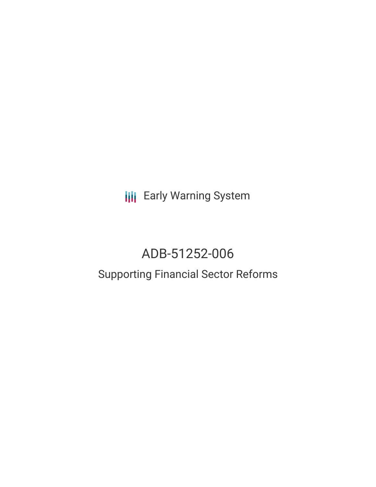**III** Early Warning System

# ADB-51252-006

## Supporting Financial Sector Reforms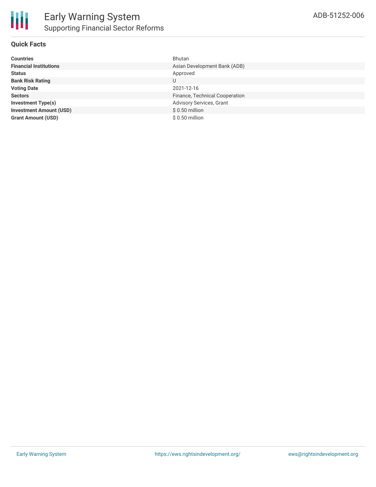

### **Quick Facts**

| <b>Countries</b>               | Bhutan                         |
|--------------------------------|--------------------------------|
| <b>Financial Institutions</b>  | Asian Development Bank (ADB)   |
| <b>Status</b>                  | Approved                       |
| <b>Bank Risk Rating</b>        |                                |
| <b>Voting Date</b>             | 2021-12-16                     |
| <b>Sectors</b>                 | Finance, Technical Cooperation |
| <b>Investment Type(s)</b>      | Advisory Services, Grant       |
| <b>Investment Amount (USD)</b> | $$0.50$ million                |
| <b>Grant Amount (USD)</b>      | \$ 0.50 million                |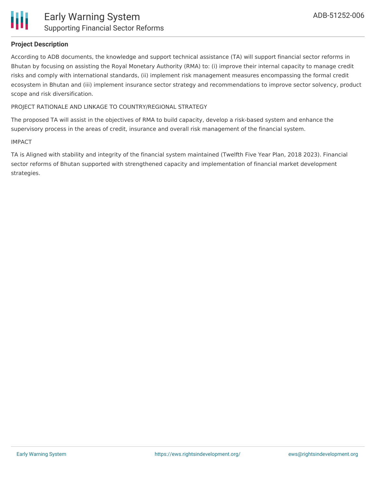

### **Project Description**

According to ADB documents, the knowledge and support technical assistance (TA) will support financial sector reforms in Bhutan by focusing on assisting the Royal Monetary Authority (RMA) to: (i) improve their internal capacity to manage credit risks and comply with international standards, (ii) implement risk management measures encompassing the formal credit ecosystem in Bhutan and (iii) implement insurance sector strategy and recommendations to improve sector solvency, product scope and risk diversification.

### PROJECT RATIONALE AND LINKAGE TO COUNTRY/REGIONAL STRATEGY

The proposed TA will assist in the objectives of RMA to build capacity, develop a risk-based system and enhance the supervisory process in the areas of credit, insurance and overall risk management of the financial system.

#### IMPACT

TA is Aligned with stability and integrity of the financial system maintained (Twelfth Five Year Plan, 2018 2023). Financial sector reforms of Bhutan supported with strengthened capacity and implementation of financial market development strategies.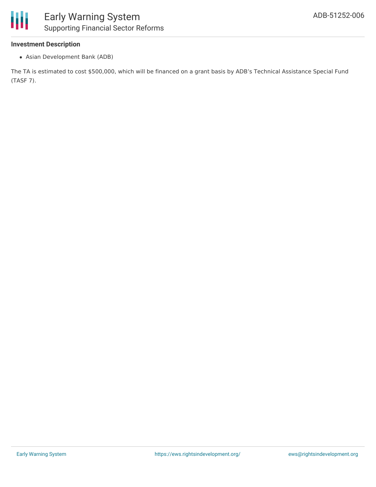### **Investment Description**

Asian Development Bank (ADB)

The TA is estimated to cost \$500,000, which will be financed on a grant basis by ADB's Technical Assistance Special Fund (TASF 7).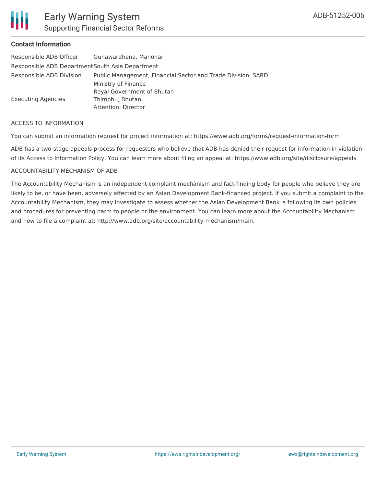

### Early Warning System Supporting Financial Sector Reforms

### **Contact Information**

| Responsible ADB Officer                          | Gunawardhena, Manohari                                       |
|--------------------------------------------------|--------------------------------------------------------------|
| Responsible ADB Department South Asia Department |                                                              |
| Responsible ADB Division                         | Public Management, Financial Sector and Trade Division, SARD |
|                                                  | Ministry of Finance                                          |
|                                                  | Royal Government of Bhutan                                   |
| <b>Executing Agencies</b>                        | Thimphu, Bhutan                                              |
|                                                  | Attention: Director                                          |

#### ACCESS TO INFORMATION

You can submit an information request for project information at: https://www.adb.org/forms/request-information-form

ADB has a two-stage appeals process for requesters who believe that ADB has denied their request for information in violation of its Access to Information Policy. You can learn more about filing an appeal at: https://www.adb.org/site/disclosure/appeals

### ACCOUNTABILITY MECHANISM OF ADB

The Accountability Mechanism is an independent complaint mechanism and fact-finding body for people who believe they are likely to be, or have been, adversely affected by an Asian Development Bank-financed project. If you submit a complaint to the Accountability Mechanism, they may investigate to assess whether the Asian Development Bank is following its own policies and procedures for preventing harm to people or the environment. You can learn more about the Accountability Mechanism and how to file a complaint at: http://www.adb.org/site/accountability-mechanism/main.